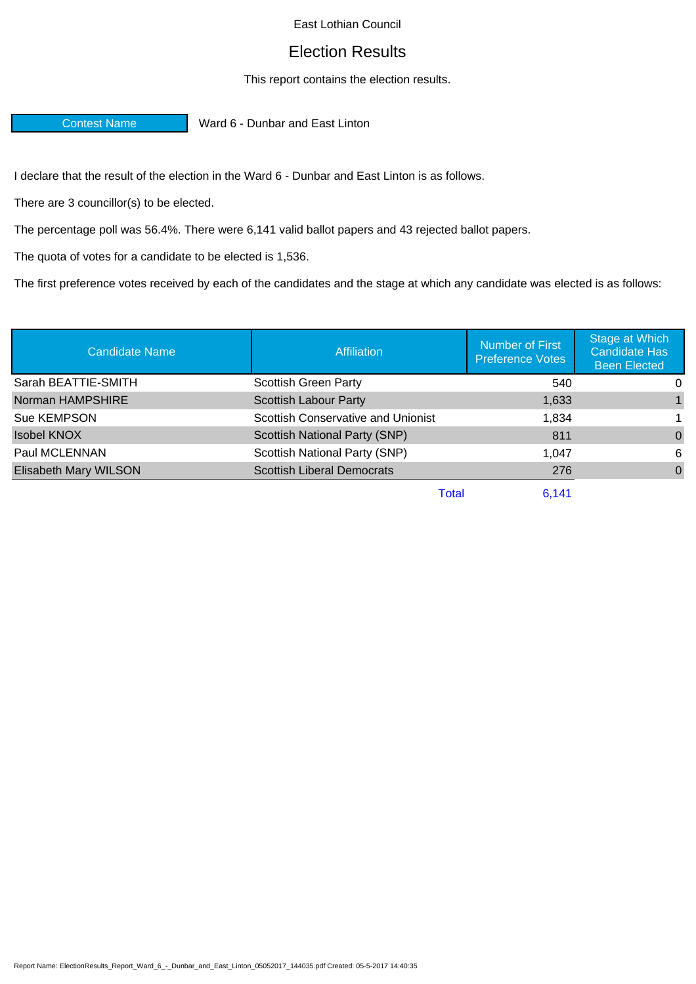## East Lothian Council

## Election Results

## This report contains the election results.

Contest Name Ward 6 - Dunbar and East Linton

I declare that the result of the election in the Ward 6 - Dunbar and East Linton is as follows.

There are 3 councillor(s) to be elected.

The percentage poll was 56.4%. There were 6,141 valid ballot papers and 43 rejected ballot papers.

The quota of votes for a candidate to be elected is 1,536.

The first preference votes received by each of the candidates and the stage at which any candidate was elected is as follows:

| <b>Candidate Name</b> | <b>Affiliation</b>                     | <b>Number of First</b><br><b>Preference Votes</b> | Stage at Which<br><b>Candidate Has</b><br><b>Been Elected</b> |
|-----------------------|----------------------------------------|---------------------------------------------------|---------------------------------------------------------------|
| Sarah BEATTIE-SMITH   | <b>Scottish Green Party</b>            | 540                                               | 0                                                             |
| Norman HAMPSHIRE      | <b>Scottish Labour Party</b>           | 1,633                                             |                                                               |
| Sue KEMPSON           | Scottish Conservative and Unionist     | 1.834                                             | 1.                                                            |
| <b>Isobel KNOX</b>    | Scottish National Party (SNP)          | 811                                               | $\Omega$                                                      |
| Paul MCLENNAN         | Scottish National Party (SNP)<br>1.047 |                                                   | 6                                                             |
| Elisabeth Mary WILSON | <b>Scottish Liberal Democrats</b>      | 276                                               | $\Omega$                                                      |
|                       | Total                                  | 6,141                                             |                                                               |

Report Name: ElectionResults\_Report\_Ward\_6\_-\_Dunbar\_and\_East\_Linton\_05052017\_144035.pdf Created: 05-5-2017 14:40:35